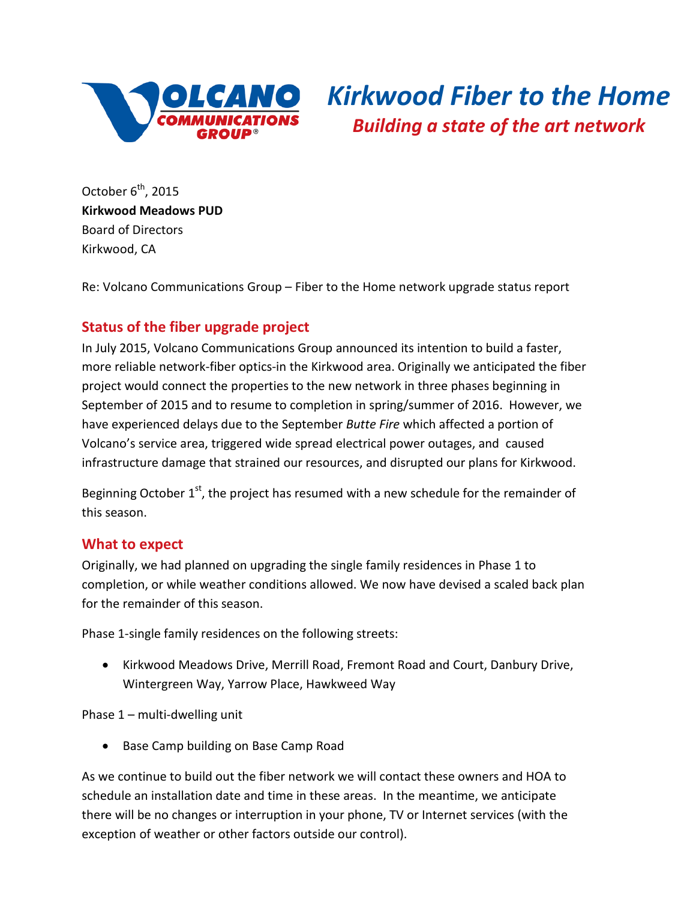

## *Kirkwood Fiber to the Home Building a state of the art network*

October  $6^{th}$ , 2015 **Kirkwood Meadows PUD** Board of Directors Kirkwood, CA

Re: Volcano Communications Group – Fiber to the Home network upgrade status report

## **Status of the fiber upgrade project**

In July 2015, Volcano Communications Group announced its intention to build a faster, more reliable network-fiber optics-in the Kirkwood area. Originally we anticipated the fiber project would connect the properties to the new network in three phases beginning in September of 2015 and to resume to completion in spring/summer of 2016. However, we have experienced delays due to the September *Butte Fire* which affected a portion of Volcano's service area, triggered wide spread electrical power outages, and caused infrastructure damage that strained our resources, and disrupted our plans for Kirkwood.

Beginning October  $1^{st}$ , the project has resumed with a new schedule for the remainder of this season.

## **What to expect**

Originally, we had planned on upgrading the single family residences in Phase 1 to completion, or while weather conditions allowed. We now have devised a scaled back plan for the remainder of this season.

Phase 1-single family residences on the following streets:

• Kirkwood Meadows Drive, Merrill Road, Fremont Road and Court, Danbury Drive, Wintergreen Way, Yarrow Place, Hawkweed Way

Phase 1 – multi-dwelling unit

• Base Camp building on Base Camp Road

As we continue to build out the fiber network we will contact these owners and HOA to schedule an installation date and time in these areas. In the meantime, we anticipate there will be no changes or interruption in your phone, TV or Internet services (with the exception of weather or other factors outside our control).